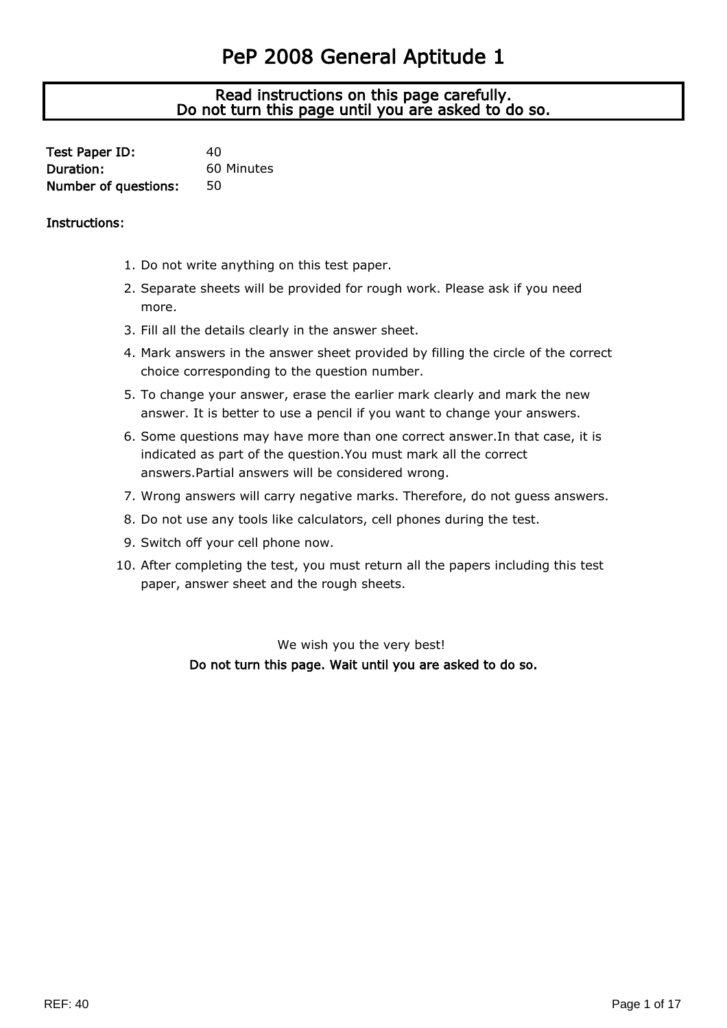# PeP 2008 General Aptitude 1

## J Read instructions on this page carefully. Do not turn this page until you are asked to do so.

| Test Paper ID:              | 40         |
|-----------------------------|------------|
| Duration:                   | 60 Minutes |
| <b>Number of questions:</b> | 50         |

#### Instructions:

- 1. Do not write anything on this test paper.
- 2. Separate sheets will be provided for rough work. Please ask if you need more.
- 3. Fill all the details clearly in the answer sheet.
- 4. Mark answers in the answer sheet provided by filling the circle of the correct choice corresponding to the question number.
- 5. To change your answer, erase the earlier mark clearly and mark the new answer. It is better to use a pencil if you want to change your answers.
- 6. Some questions may have more than one correct answer.In that case, it is indicated as part of the question.You must mark all the correct answers.Partial answers will be considered wrong.
- 7. Wrong answers will carry negative marks. Therefore, do not guess answers.
- 8. Do not use any tools like calculators, cell phones during the test.
- 9. Switch off your cell phone now.
- 10. After completing the test, you must return all the papers including this test paper, answer sheet and the rough sheets.

We wish you the very best! Do not turn this page. Wait until you are asked to do so.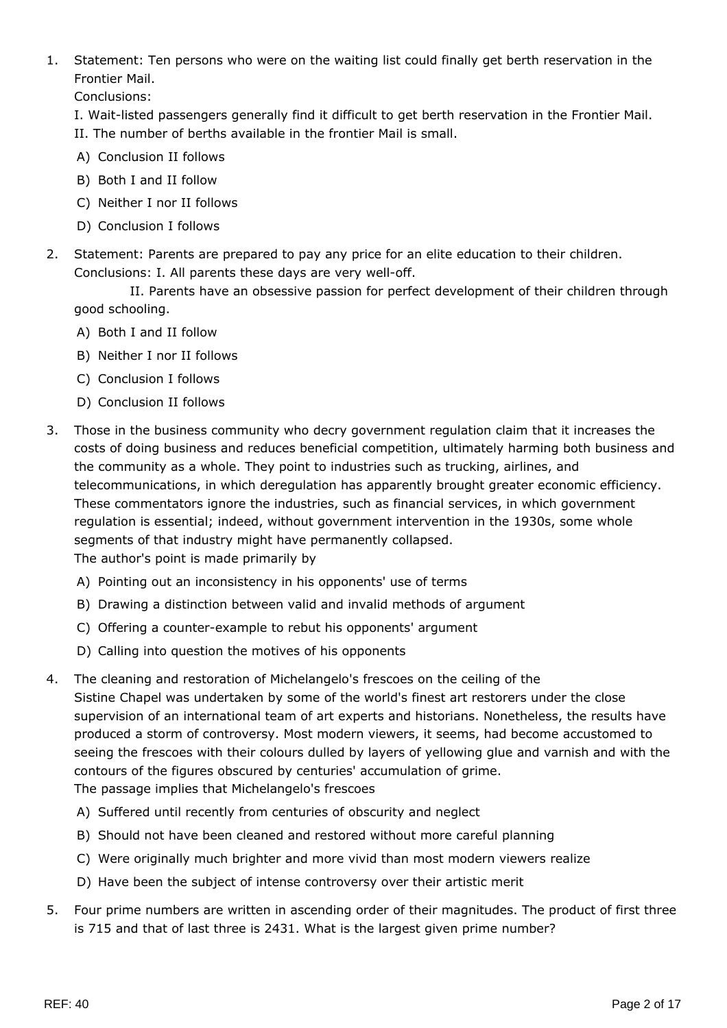1. Statement: Ten persons who were on the waiting list could finally get berth reservation in the Frontier Mail.

Conclusions:

- I. Wait-listed passengers generally find it difficult to get berth reservation in the Frontier Mail.
- II. The number of berths available in the frontier Mail is small.
- A) Conclusion II follows
- B) Both I and II follow
- C) Neither I nor II follows
- D) Conclusion I follows
- 2. Statement: Parents are prepared to pay any price for an elite education to their children. Conclusions: I. All parents these days are very well-off.

 II. Parents have an obsessive passion for perfect development of their children through good schooling.

- A) Both I and II follow
- B) Neither I nor II follows
- C) Conclusion I follows
- D) Conclusion II follows
- 3. Those in the business community who decry government regulation claim that it increases the costs of doing business and reduces beneficial competition, ultimately harming both business and the community as a whole. They point to industries such as trucking, airlines, and telecommunications, in which deregulation has apparently brought greater economic efficiency. These commentators ignore the industries, such as financial services, in which government regulation is essential; indeed, without government intervention in the 1930s, some whole segments of that industry might have permanently collapsed. The author's point is made primarily by
	- A) Pointing out an inconsistency in his opponents' use of terms
	- B) Drawing a distinction between valid and invalid methods of argument
	- C) Offering a counter-example to rebut his opponents' argument
	- D) Calling into question the motives of his opponents
- 4. The cleaning and restoration of Michelangelo's frescoes on the ceiling of the Sistine Chapel was undertaken by some of the world's finest art restorers under the close supervision of an international team of art experts and historians. Nonetheless, the results have produced a storm of controversy. Most modern viewers, it seems, had become accustomed to seeing the frescoes with their colours dulled by layers of yellowing glue and varnish and with the contours of the figures obscured by centuries' accumulation of grime. The passage implies that Michelangelo's frescoes
	- A) Suffered until recently from centuries of obscurity and neglect
	- B) Should not have been cleaned and restored without more careful planning
	- C) Were originally much brighter and more vivid than most modern viewers realize
	- D) Have been the subject of intense controversy over their artistic merit
- 5. Four prime numbers are written in ascending order of their magnitudes. The product of first three is 715 and that of last three is 2431. What is the largest given prime number?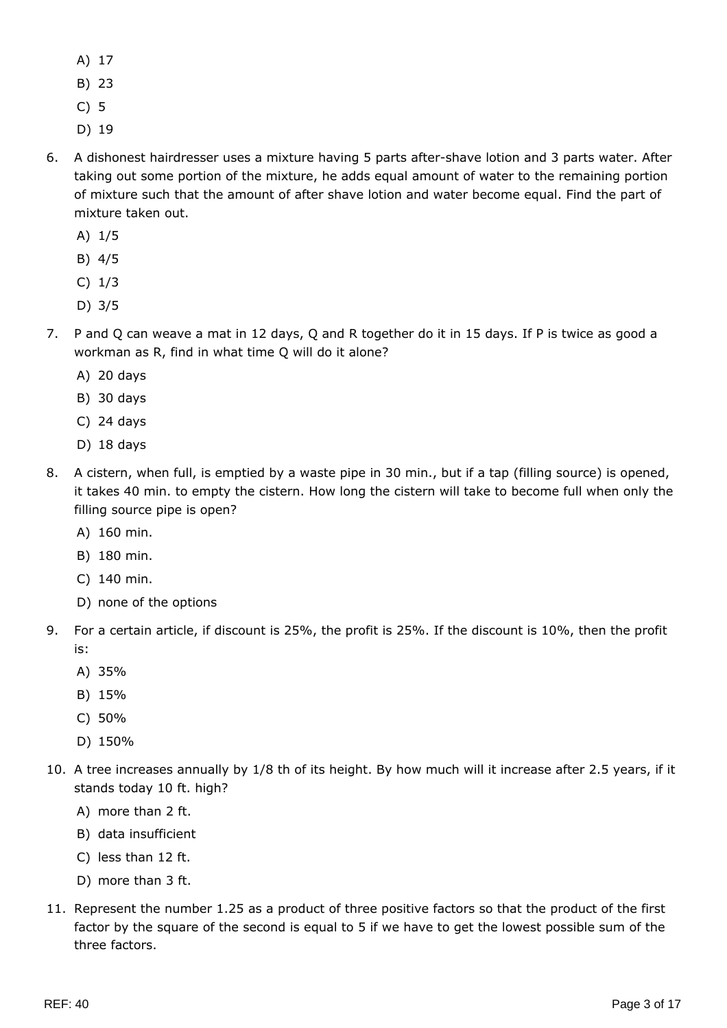- A) 17
- B) 23
- C) 5
- D) 19
- 6. A dishonest hairdresser uses a mixture having 5 parts after-shave lotion and 3 parts water. After taking out some portion of the mixture, he adds equal amount of water to the remaining portion of mixture such that the amount of after shave lotion and water become equal. Find the part of mixture taken out.
	- A) 1/5
	- B) 4/5
	- C) 1/3
	- D) 3/5
- 7. P and Q can weave a mat in 12 days, Q and R together do it in 15 days. If P is twice as good a workman as R, find in what time Q will do it alone?
	- A) 20 days
	- B) 30 days
	- C) 24 days
	- D) 18 days
- 8. A cistern, when full, is emptied by a waste pipe in 30 min., but if a tap (filling source) is opened, it takes 40 min. to empty the cistern. How long the cistern will take to become full when only the filling source pipe is open?
	- A) 160 min.
	- B) 180 min.
	- C) 140 min.
	- D) none of the options
- 9. For a certain article, if discount is 25%, the profit is 25%. If the discount is 10%, then the profit is:
	- A) 35%
	- B) 15%
	- C) 50%
	- D) 150%
- 10. A tree increases annually by 1/8 th of its height. By how much will it increase after 2.5 years, if it stands today 10 ft. high?
	- A) more than 2 ft.
	- B) data insufficient
	- C) less than 12 ft.
	- D) more than 3 ft.
- 11. Represent the number 1.25 as a product of three positive factors so that the product of the first factor by the square of the second is equal to 5 if we have to get the lowest possible sum of the three factors.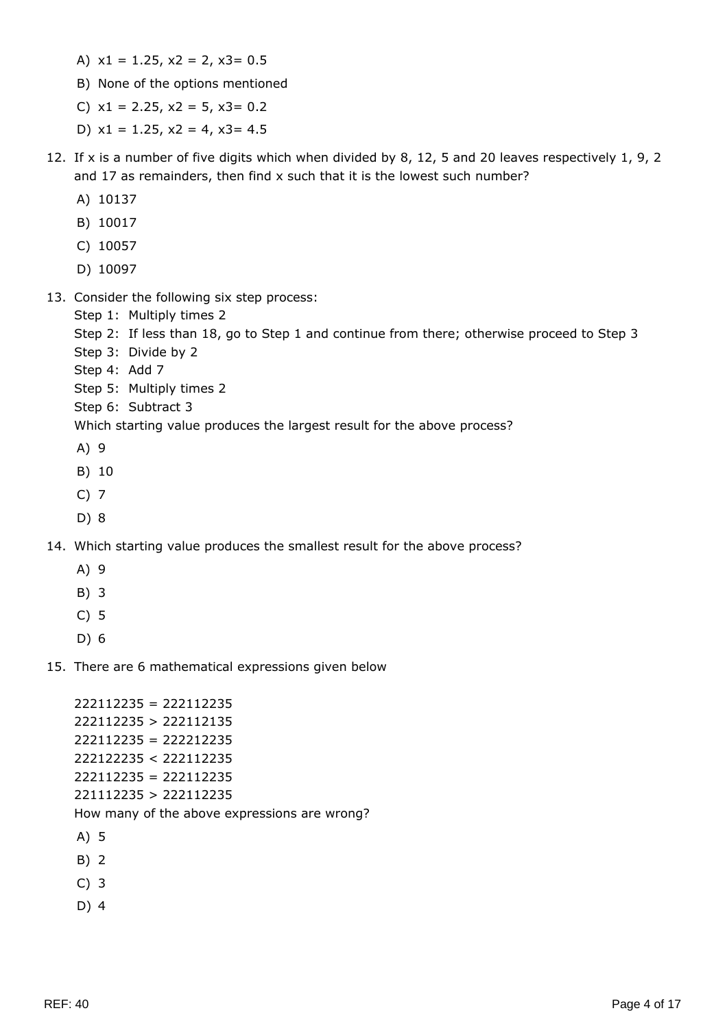A)  $x1 = 1.25$ ,  $x2 = 2$ ,  $x3 = 0.5$ 

- B) None of the options mentioned
- C)  $x1 = 2.25$ ,  $x2 = 5$ ,  $x3 = 0.2$
- D)  $x1 = 1.25$ ,  $x2 = 4$ ,  $x3 = 4.5$
- 12. If x is a number of five digits which when divided by 8, 12, 5 and 20 leaves respectively 1, 9, 2 and 17 as remainders, then find x such that it is the lowest such number?
	- A) 10137
	- B) 10017
	- C) 10057
	- D) 10097
- 13. Consider the following six step process:
	- Step 1: Multiply times 2
	- Step 2: If less than 18, go to Step 1 and continue from there; otherwise proceed to Step 3
	- Step 3: Divide by 2
	- Step 4: Add 7
	- Step 5: Multiply times 2
	- Step 6: Subtract 3
	- Which starting value produces the largest result for the above process?
	- A) 9
	- B) 10
	- C) 7
	- D) 8
- 14. Which starting value produces the smallest result for the above process?
	- A) 9
	- B) 3
	- C) 5
	- D) 6
- 15. There are 6 mathematical expressions given below

```
222112235 = 222112235
222112235 > 222112135
222112235 = 222212235
222122235 < 222112235
222112235 = 222112235
221112235 > 222112235
How many of the above expressions are wrong?
A) 5
```
- B) 2
- C) 3
- D) 4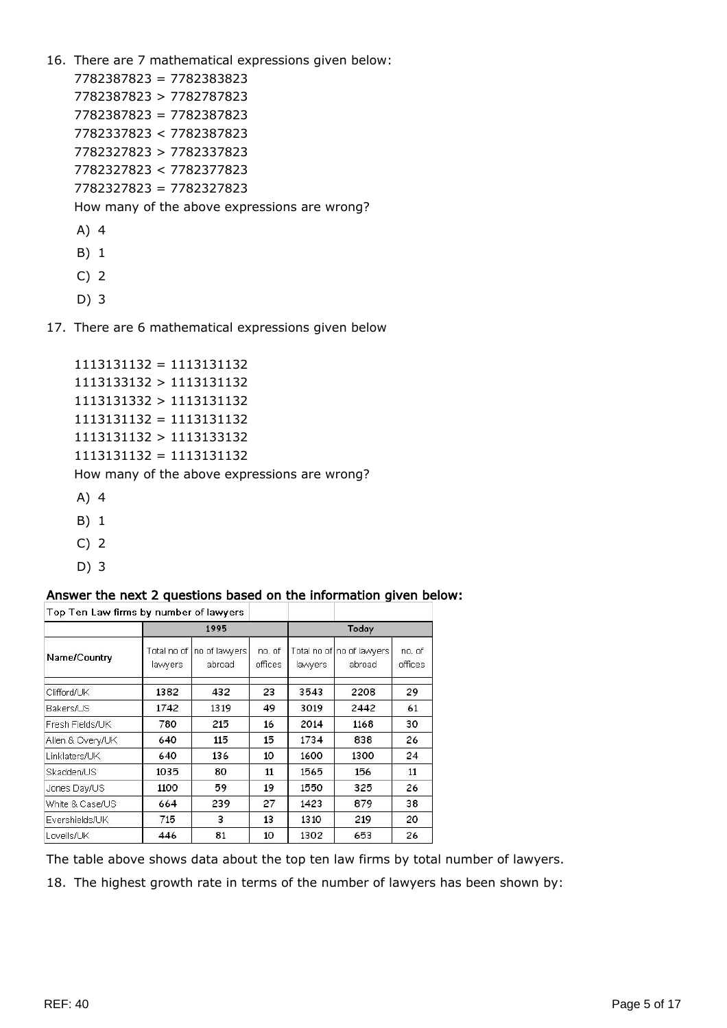- 16. There are 7 mathematical expressions given below: 7782387823 = 7782383823 7782387823 > 7782787823 7782387823 = 7782387823 7782337823 < 7782387823 7782327823 > 7782337823 7782327823 < 7782377823 7782327823 = 7782327823 How many of the above expressions are wrong? A) 4
	- B) 1
	- C) 2
	- D) 3
- 17. There are 6 mathematical expressions given below

```
1113131132 = 1113131132
1113133132 > 1113131132
1113131332 > 1113131132
1113131132 = 1113131132
1113131132 > 1113133132
1113131132 = 1113131132
How many of the above expressions are wrong?
A) 4
```
- B) 1
- C) 2
- D) 3

#### Answer the next 2 questions based on the information given below:

Top Ten Law firms by number of lawyers

| Name/Country     | 1995                   |                         | Today             |         |                                     |                   |
|------------------|------------------------|-------------------------|-------------------|---------|-------------------------------------|-------------------|
|                  | Total no of<br>lawyers | no of lawyers<br>abroad | no. of<br>offices | lawyers | Total no of no of lawyers<br>abroad | no. of<br>offices |
| Clifford/UK      | 1382                   | 432                     | 23                | 3543    | 2208                                | 29                |
| Bakers/US        | 1742                   | 1319                    | 49                | 3019    | 2442                                | 61                |
| Fresh Fields/UK  | 780                    | 215                     | 16                | 2014    | 1168                                | 30                |
| Allen & Overy/UK | 640                    | 115                     | 15                | 1734    | 838                                 | 26                |
| Linklaters/UK    | 640                    | 136                     | 10                | 1600    | 1300                                | 24                |
| Skadden/US       | 1035                   | 80                      | 11                | 1565    | 156                                 | 11                |
| Jones Day/US     | 1100                   | 59                      | 19                | 1550    | 325                                 | 26                |
| White & Case/US  | 664                    | 239                     | 27                | 1423    | 879                                 | 38                |
| Evershields/UK   | 715                    | 3                       | 13                | 1310    | 219                                 | 20                |
| Lovells/UK       | 446                    | 81                      | 10                | 1302    | 653                                 | 26                |

The table above shows data about the top ten law firms by total number of lawyers.

18. The highest growth rate in terms of the number of lawyers has been shown by: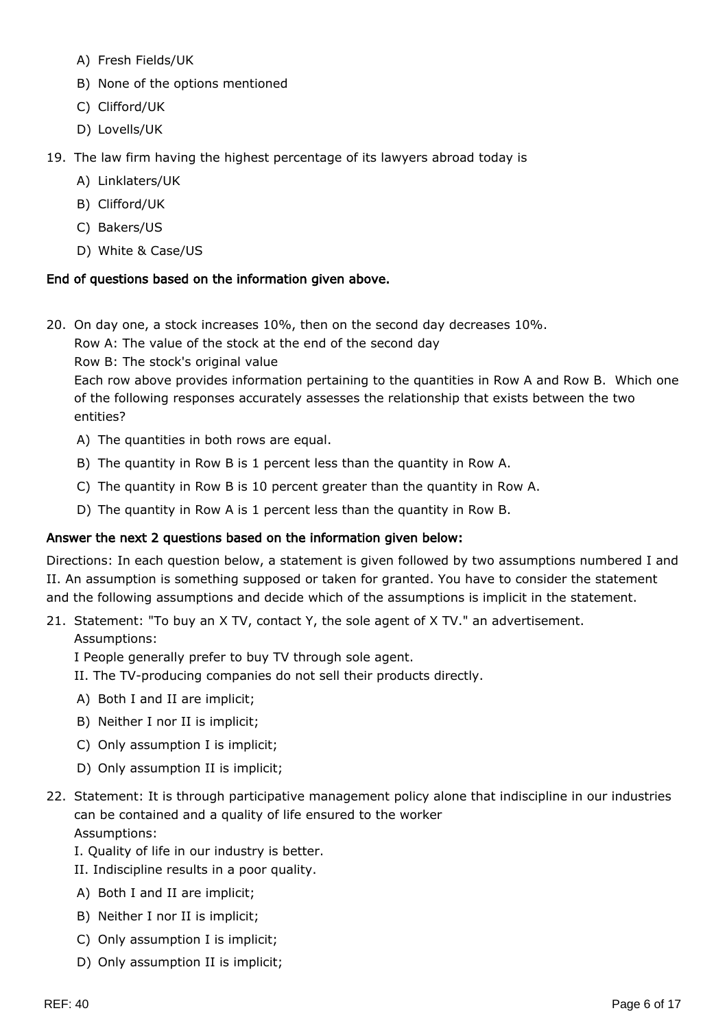- A) Fresh Fields/UK
- B) None of the options mentioned
- C) Clifford/UK
- D) Lovells/UK
- 19. The law firm having the highest percentage of its lawyers abroad today is
	- A) Linklaters/UK
	- B) Clifford/UK
	- C) Bakers/US
	- D) White & Case/US

- 20. On day one, a stock increases 10%, then on the second day decreases 10%.
	- Row A: The value of the stock at the end of the second day
	- Row B: The stock's original value

Each row above provides information pertaining to the quantities in Row A and Row B. Which one of the following responses accurately assesses the relationship that exists between the two entities?

- A) The quantities in both rows are equal.
- B) The quantity in Row B is 1 percent less than the quantity in Row A.
- C) The quantity in Row B is 10 percent greater than the quantity in Row A.
- D) The quantity in Row A is 1 percent less than the quantity in Row B.

#### Answer the next 2 questions based on the information given below:

Directions: In each question below, a statement is given followed by two assumptions numbered I and II. An assumption is something supposed or taken for granted. You have to consider the statement and the following assumptions and decide which of the assumptions is implicit in the statement.

21. Statement: "To buy an X TV, contact Y, the sole agent of X TV." an advertisement. Assumptions:

I People generally prefer to buy TV through sole agent.

- II. The TV-producing companies do not sell their products directly.
- A) Both I and II are implicit;
- B) Neither I nor II is implicit;
- C) Only assumption I is implicit;
- D) Only assumption II is implicit;
- 22. Statement: It is through participative management policy alone that indiscipline in our industries can be contained and a quality of life ensured to the worker Assumptions:
	- I. Quality of life in our industry is better.
	- II. Indiscipline results in a poor quality.
	- A) Both I and II are implicit;
	- B) Neither I nor II is implicit;
	- C) Only assumption I is implicit;
	- D) Only assumption II is implicit;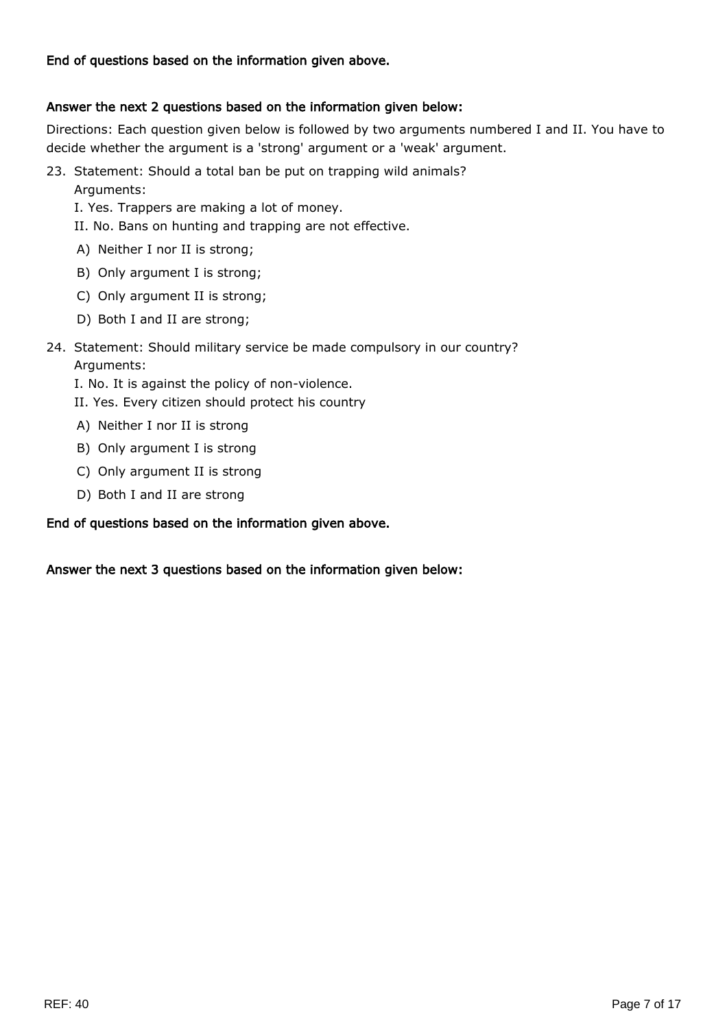#### Answer the next 2 questions based on the information given below:

Directions: Each question given below is followed by two arguments numbered I and II. You have to decide whether the argument is a 'strong' argument or a 'weak' argument.

23. Statement: Should a total ban be put on trapping wild animals?

#### Arguments:

- I. Yes. Trappers are making a lot of money.
- II. No. Bans on hunting and trapping are not effective.
- A) Neither I nor II is strong;
- B) Only argument I is strong;
- C) Only argument II is strong;
- D) Both I and II are strong;
- 24. Statement: Should military service be made compulsory in our country? Arguments:
	- I. No. It is against the policy of non-violence.
	- II. Yes. Every citizen should protect his country
	- A) Neither I nor II is strong
	- B) Only argument I is strong
	- C) Only argument II is strong
	- D) Both I and II are strong

#### End of questions based on the information given above.

#### Answer the next 3 questions based on the information given below: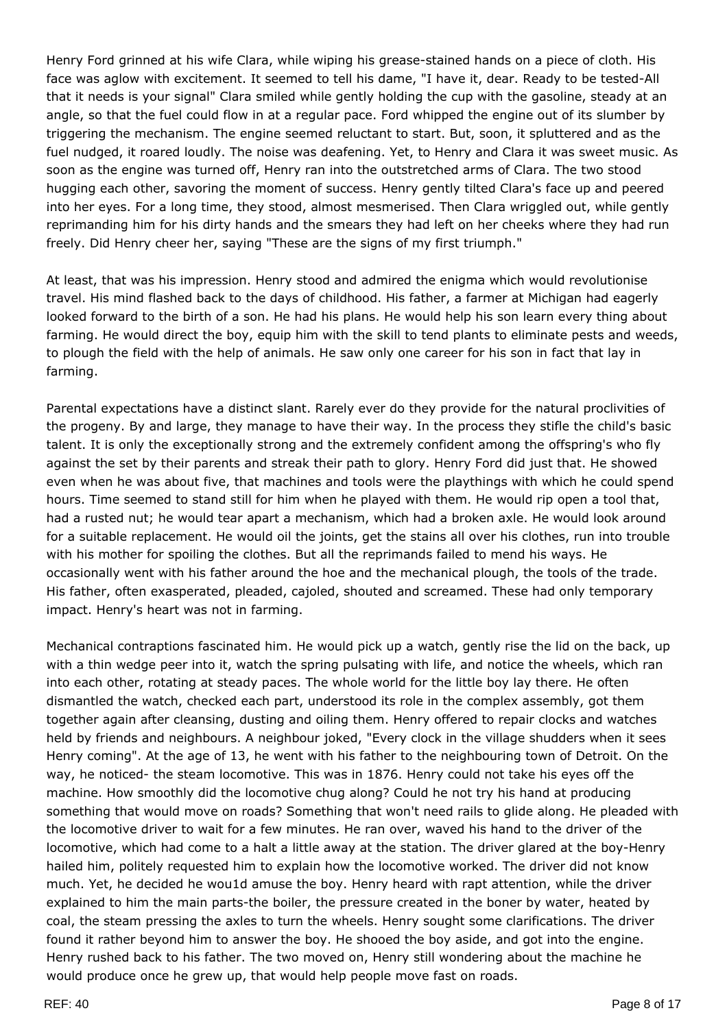Henry Ford grinned at his wife Clara, while wiping his grease-stained hands on a piece of cloth. His face was aglow with excitement. It seemed to tell his dame, "I have it, dear. Ready to be tested-All that it needs is your signal" Clara smiled while gently holding the cup with the gasoline, steady at an angle, so that the fuel could flow in at a regular pace. Ford whipped the engine out of its slumber by triggering the mechanism. The engine seemed reluctant to start. But, soon, it spluttered and as the fuel nudged, it roared loudly. The noise was deafening. Yet, to Henry and Clara it was sweet music. As soon as the engine was turned off, Henry ran into the outstretched arms of Clara. The two stood hugging each other, savoring the moment of success. Henry gently tilted Clara's face up and peered into her eyes. For a long time, they stood, almost mesmerised. Then Clara wriggled out, while gently reprimanding him for his dirty hands and the smears they had left on her cheeks where they had run freely. Did Henry cheer her, saying "These are the signs of my first triumph."

At least, that was his impression. Henry stood and admired the enigma which would revolutionise travel. His mind flashed back to the days of childhood. His father, a farmer at Michigan had eagerly looked forward to the birth of a son. He had his plans. He would help his son learn every thing about farming. He would direct the boy, equip him with the skill to tend plants to eliminate pests and weeds, to plough the field with the help of animals. He saw only one career for his son in fact that lay in farming.

Parental expectations have a distinct slant. Rarely ever do they provide for the natural proclivities of the progeny. By and large, they manage to have their way. In the process they stifle the child's basic talent. It is only the exceptionally strong and the extremely confident among the offspring's who fly against the set by their parents and streak their path to glory. Henry Ford did just that. He showed even when he was about five, that machines and tools were the playthings with which he could spend hours. Time seemed to stand still for him when he played with them. He would rip open a tool that, had a rusted nut; he would tear apart a mechanism, which had a broken axle. He would look around for a suitable replacement. He would oil the joints, get the stains all over his clothes, run into trouble with his mother for spoiling the clothes. But all the reprimands failed to mend his ways. He occasionally went with his father around the hoe and the mechanical plough, the tools of the trade. His father, often exasperated, pleaded, cajoled, shouted and screamed. These had only temporary impact. Henry's heart was not in farming.

Mechanical contraptions fascinated him. He would pick up a watch, gently rise the lid on the back, up with a thin wedge peer into it, watch the spring pulsating with life, and notice the wheels, which ran into each other, rotating at steady paces. The whole world for the little boy lay there. He often dismantled the watch, checked each part, understood its role in the complex assembly, got them together again after cleansing, dusting and oiling them. Henry offered to repair clocks and watches held by friends and neighbours. A neighbour joked, "Every clock in the village shudders when it sees Henry coming". At the age of 13, he went with his father to the neighbouring town of Detroit. On the way, he noticed- the steam locomotive. This was in 1876. Henry could not take his eyes off the machine. How smoothly did the locomotive chug along? Could he not try his hand at producing something that would move on roads? Something that won't need rails to glide along. He pleaded with the locomotive driver to wait for a few minutes. He ran over, waved his hand to the driver of the locomotive, which had come to a halt a little away at the station. The driver glared at the boy-Henry hailed him, politely requested him to explain how the locomotive worked. The driver did not know much. Yet, he decided he wou1d amuse the boy. Henry heard with rapt attention, while the driver explained to him the main parts-the boiler, the pressure created in the boner by water, heated by coal, the steam pressing the axles to turn the wheels. Henry sought some clarifications. The driver found it rather beyond him to answer the boy. He shooed the boy aside, and got into the engine. Henry rushed back to his father. The two moved on, Henry still wondering about the machine he would produce once he grew up, that would help people move fast on roads.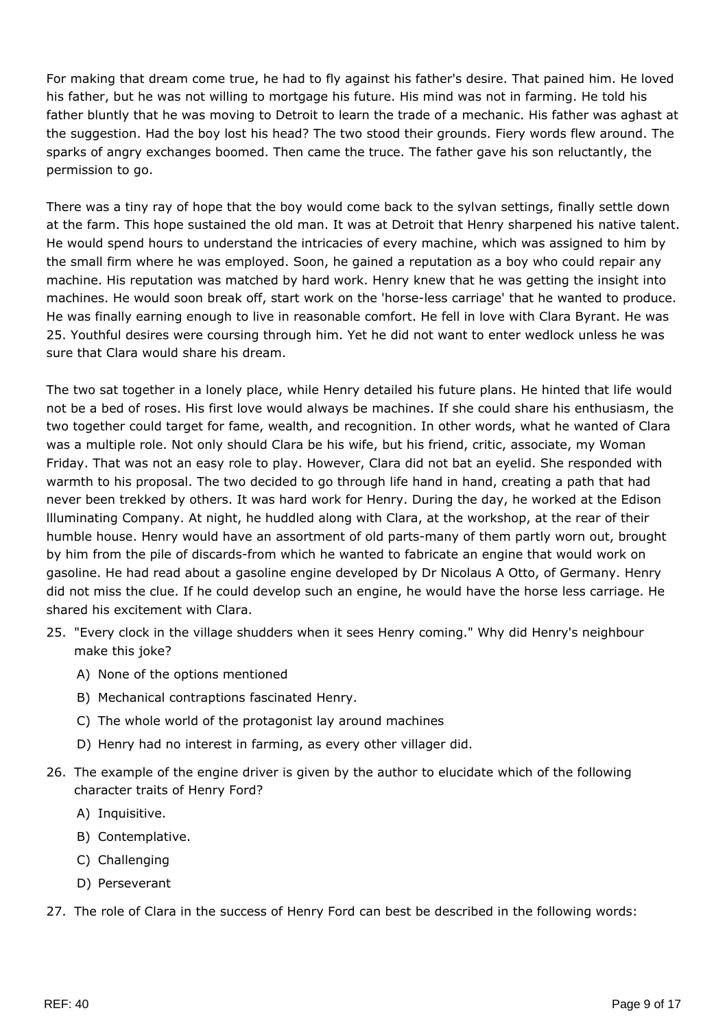For making that dream come true, he had to fly against his father's desire. That pained him. He loved his father, but he was not willing to mortgage his future. His mind was not in farming. He told his father bluntly that he was moving to Detroit to learn the trade of a mechanic. His father was aghast at the suggestion. Had the boy lost his head? The two stood their grounds. Fiery words flew around. The sparks of angry exchanges boomed. Then came the truce. The father gave his son reluctantly, the permission to go.

There was a tiny ray of hope that the boy would come back to the sylvan settings, finally settle down at the farm. This hope sustained the old man. It was at Detroit that Henry sharpened his native talent. He would spend hours to understand the intricacies of every machine, which was assigned to him by the small firm where he was employed. Soon, he gained a reputation as a boy who could repair any machine. His reputation was matched by hard work. Henry knew that he was getting the insight into machines. He would soon break off, start work on the 'horse-less carriage' that he wanted to produce. He was finally earning enough to live in reasonable comfort. He fell in love with Clara Byrant. He was 25. Youthful desires were coursing through him. Yet he did not want to enter wedlock unless he was sure that Clara would share his dream.

The two sat together in a lonely place, while Henry detailed his future plans. He hinted that life would not be a bed of roses. His first love would always be machines. If she could share his enthusiasm, the two together could target for fame, wealth, and recognition. In other words, what he wanted of Clara was a multiple role. Not only should Clara be his wife, but his friend, critic, associate, my Woman Friday. That was not an easy role to play. However, Clara did not bat an eyelid. She responded with warmth to his proposal. The two decided to go through life hand in hand, creating a path that had never been trekked by others. It was hard work for Henry. During the day, he worked at the Edison llluminating Company. At night, he huddled along with Clara, at the workshop, at the rear of their humble house. Henry would have an assortment of old parts-many of them partly worn out, brought by him from the pile of discards-from which he wanted to fabricate an engine that would work on gasoline. He had read about a gasoline engine developed by Dr Nicolaus A Otto, of Germany. Henry did not miss the clue. If he could develop such an engine, he would have the horse less carriage. He shared his excitement with Clara.

- 25. "Every clock in the village shudders when it sees Henry coming." Why did Henry's neighbour make this joke?
	- A) None of the options mentioned
	- B) Mechanical contraptions fascinated Henry.
	- C) The whole world of the protagonist lay around machines
	- D) Henry had no interest in farming, as every other villager did.
- 26. The example of the engine driver is given by the author to elucidate which of the following character traits of Henry Ford?
	- A) Inquisitive.
	- B) Contemplative.
	- C) Challenging
	- D) Perseverant
- 27. The role of Clara in the success of Henry Ford can best be described in the following words: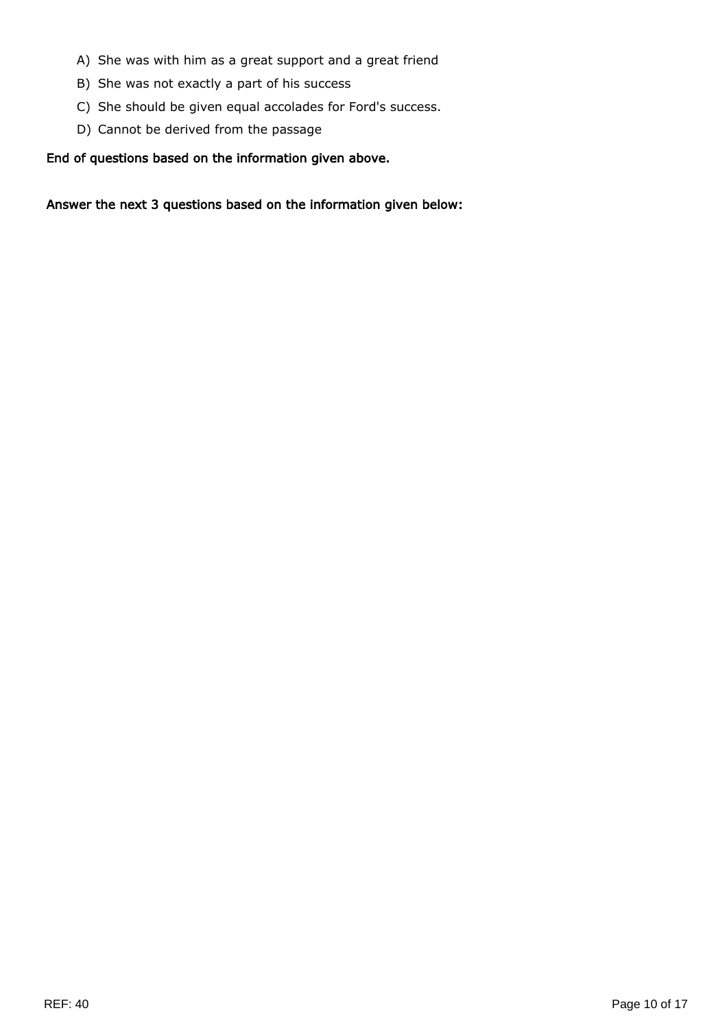- A) She was with him as a great support and a great friend
- B) She was not exactly a part of his success
- C) She should be given equal accolades for Ford's success.
- D) Cannot be derived from the passage

## Answer the next 3 questions based on the information given below: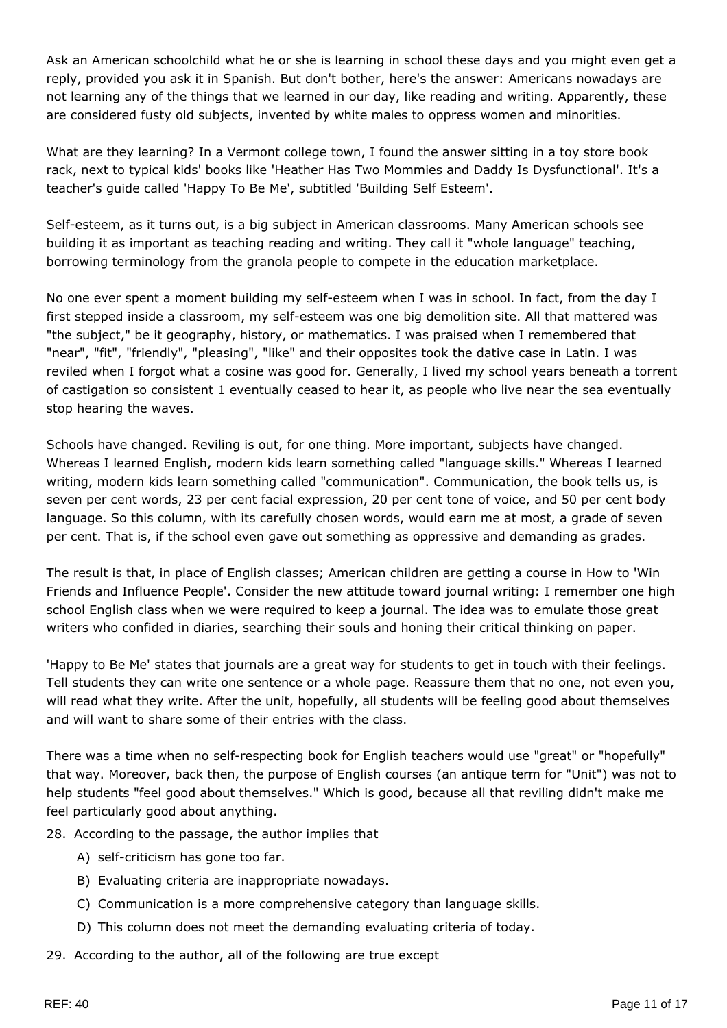Ask an American schoolchild what he or she is learning in school these days and you might even get a reply, provided you ask it in Spanish. But don't bother, here's the answer: Americans nowadays are not learning any of the things that we learned in our day, like reading and writing. Apparently, these are considered fusty old subjects, invented by white males to oppress women and minorities.

What are they learning? In a Vermont college town, I found the answer sitting in a toy store book rack, next to typical kids' books like 'Heather Has Two Mommies and Daddy Is Dysfunctional'. It's a teacher's guide called 'Happy To Be Me', subtitled 'Building Self Esteem'.

Self-esteem, as it turns out, is a big subject in American classrooms. Many American schools see building it as important as teaching reading and writing. They call it "whole language" teaching, borrowing terminology from the granola people to compete in the education marketplace.

No one ever spent a moment building my self-esteem when I was in school. In fact, from the day I first stepped inside a classroom, my self-esteem was one big demolition site. All that mattered was "the subject," be it geography, history, or mathematics. I was praised when I remembered that "near", "fit", "friendly", "pleasing", "like" and their opposites took the dative case in Latin. I was reviled when I forgot what a cosine was good for. Generally, I lived my school years beneath a torrent of castigation so consistent 1 eventually ceased to hear it, as people who live near the sea eventually stop hearing the waves.

Schools have changed. Reviling is out, for one thing. More important, subjects have changed. Whereas I learned English, modern kids learn something called "language skills." Whereas I learned writing, modern kids learn something called "communication". Communication, the book tells us, is seven per cent words, 23 per cent facial expression, 20 per cent tone of voice, and 50 per cent body language. So this column, with its carefully chosen words, would earn me at most, a grade of seven per cent. That is, if the school even gave out something as oppressive and demanding as grades.

The result is that, in place of English classes; American children are getting a course in How to 'Win Friends and Influence People'. Consider the new attitude toward journal writing: I remember one high school English class when we were required to keep a journal. The idea was to emulate those great writers who confided in diaries, searching their souls and honing their critical thinking on paper.

'Happy to Be Me' states that journals are a great way for students to get in touch with their feelings. Tell students they can write one sentence or a whole page. Reassure them that no one, not even you, will read what they write. After the unit, hopefully, all students will be feeling good about themselves and will want to share some of their entries with the class.

There was a time when no self-respecting book for English teachers would use "great" or "hopefully" that way. Moreover, back then, the purpose of English courses (an antique term for "Unit") was not to help students "feel good about themselves." Which is good, because all that reviling didn't make me feel particularly good about anything.

28. According to the passage, the author implies that

- A) self-criticism has gone too far.
- B) Evaluating criteria are inappropriate nowadays.
- C) Communication is a more comprehensive category than language skills.
- D) This column does not meet the demanding evaluating criteria of today.
- 29. According to the author, all of the following are true except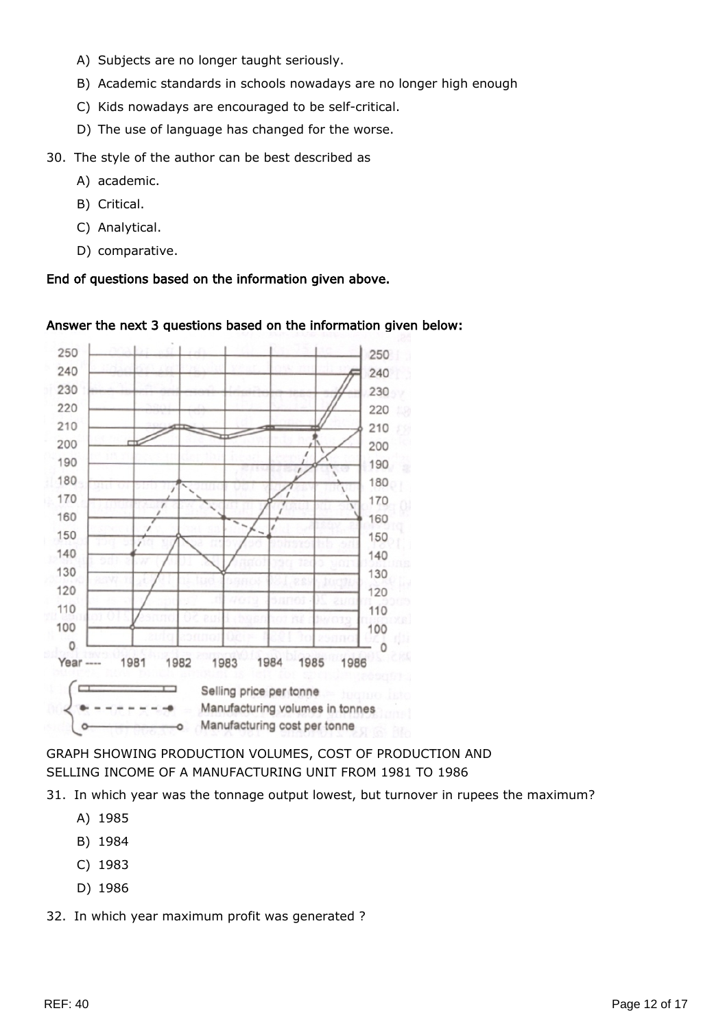- A) Subjects are no longer taught seriously.
- B) Academic standards in schools nowadays are no longer high enough
- C) Kids nowadays are encouraged to be self-critical.
- D) The use of language has changed for the worse.

30. The style of the author can be best described as

- A) academic.
- B) Critical.
- C) Analytical.
- D) comparative.

End of questions based on the information given above.



Answer the next 3 questions based on the information given below:

GRAPH SHOWING PRODUCTION VOLUMES, COST OF PRODUCTION AND SELLING INCOME OF A MANUFACTURING UNIT FROM 1981 TO 1986

31. In which year was the tonnage output lowest, but turnover in rupees the maximum?

- A) 1985
- B) 1984
- C) 1983
- D) 1986

32. In which year maximum profit was generated ?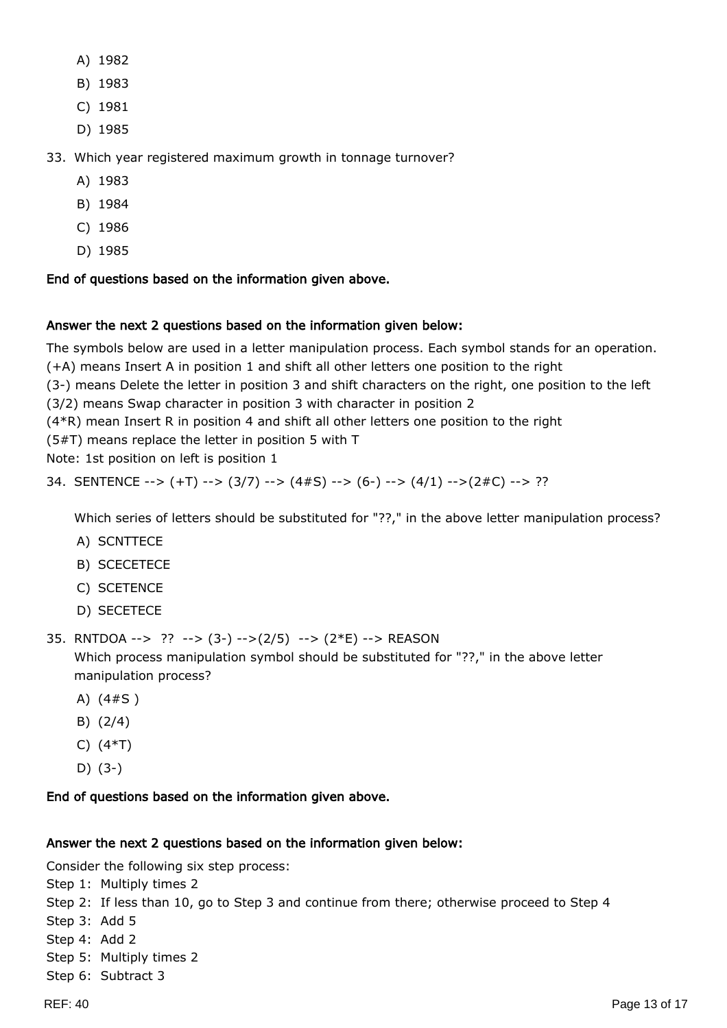- A) 1982
- B) 1983
- C) 1981
- D) 1985

33. Which year registered maximum growth in tonnage turnover?

- A) 1983
- B) 1984
- C) 1986
- D) 1985

End of questions based on the information given above.

## Answer the next 2 questions based on the information given below:

The symbols below are used in a letter manipulation process. Each symbol stands for an operation.

(+A) means Insert A in position 1 and shift all other letters one position to the right

(3-) means Delete the letter in position 3 and shift characters on the right, one position to the left (3/2) means Swap character in position 3 with character in position 2

(4\*R) mean Insert R in position 4 and shift all other letters one position to the right

(5#T) means replace the letter in position 5 with T

Note: 1st position on left is position 1

34. SENTENCE --> (+T) --> (3/7) --> (4#S) --> (6-) --> (4/1) -->(2#C) --> ??

Which series of letters should be substituted for "??," in the above letter manipulation process?

- A) SCNTTECE
- B) SCECETECE
- C) SCETENCE
- D) SECETECE

35. RNTDOA --> ?? --> (3-) -->(2/5) --> (2\*E) --> REASON Which process manipulation symbol should be substituted for "??," in the above letter manipulation process?

- A) (4#S )
- B) (2/4)
- C) (4\*T)
- D) (3-)

End of questions based on the information given above.

## Answer the next 2 questions based on the information given below:

Consider the following six step process:

- Step 1: Multiply times 2
- Step 2: If less than 10, go to Step 3 and continue from there; otherwise proceed to Step 4
- Step 3: Add 5
- Step 4: Add 2
- Step 5: Multiply times 2
- Step 6: Subtract 3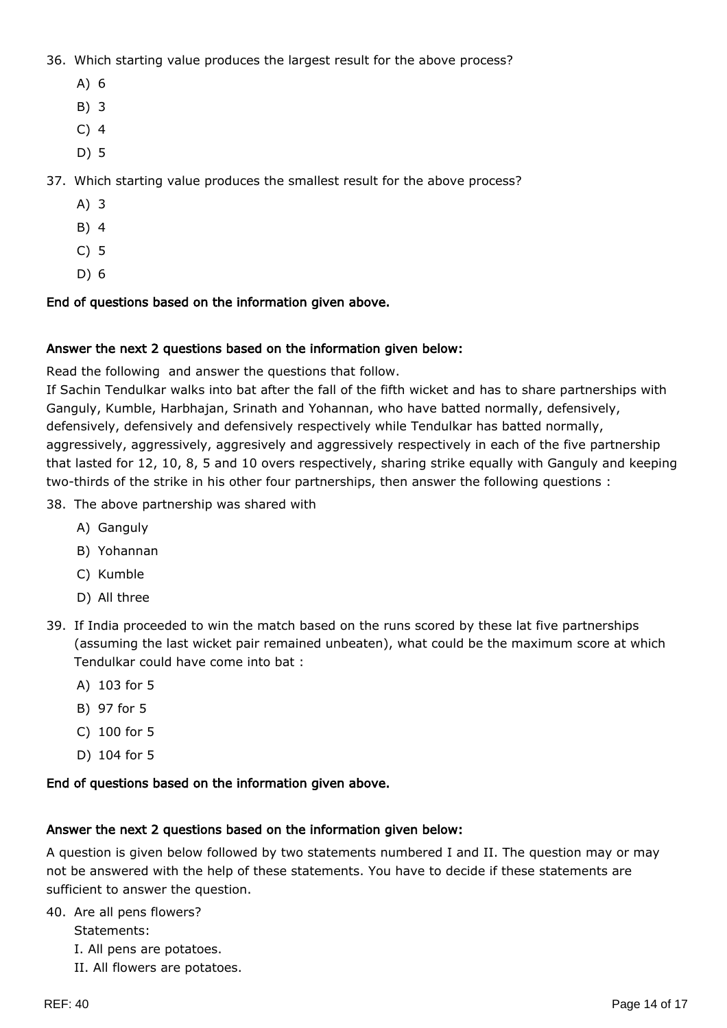36. Which starting value produces the largest result for the above process?

- A) 6
- B) 3
- C) 4
- D) 5

37. Which starting value produces the smallest result for the above process?

- A) 3
- B) 4
- C) 5
- D) 6

## End of questions based on the information given above.

## Answer the next 2 questions based on the information given below:

Read the following and answer the questions that follow.

If Sachin Tendulkar walks into bat after the fall of the fifth wicket and has to share partnerships with Ganguly, Kumble, Harbhajan, Srinath and Yohannan, who have batted normally, defensively, defensively, defensively and defensively respectively while Tendulkar has batted normally, aggressively, aggressively, aggresively and aggressively respectively in each of the five partnership that lasted for 12, 10, 8, 5 and 10 overs respectively, sharing strike equally with Ganguly and keeping two-thirds of the strike in his other four partnerships, then answer the following questions :

- 38. The above partnership was shared with
	- A) Ganguly
	- B) Yohannan
	- C) Kumble
	- D) All three
- 39. If India proceeded to win the match based on the runs scored by these lat five partnerships (assuming the last wicket pair remained unbeaten), what could be the maximum score at which Tendulkar could have come into bat :
	- A) 103 for 5
	- B) 97 for 5
	- C) 100 for 5
	- D) 104 for 5

## End of questions based on the information given above.

# Answer the next 2 questions based on the information given below:

A question is given below followed by two statements numbered I and II. The question may or may not be answered with the help of these statements. You have to decide if these statements are sufficient to answer the question.

40. Are all pens flowers?

Statements:

- I. All pens are potatoes.
- II. All flowers are potatoes.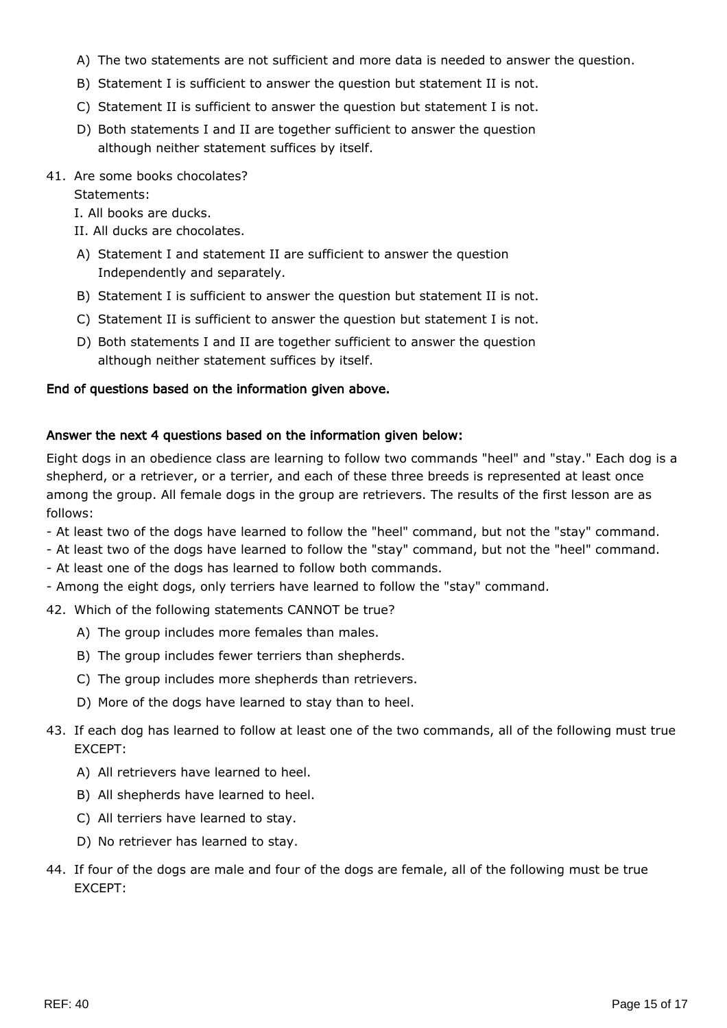- A) The two statements are not sufficient and more data is needed to answer the question.
- B) Statement I is sufficient to answer the question but statement II is not.
- C) Statement II is sufficient to answer the question but statement I is not.
- D) Both statements I and II are together sufficient to answer the question although neither statement suffices by itself.
- 41. Are some books chocolates?

Statements:

- I. All books are ducks.
- II. All ducks are chocolates.
- A) Statement I and statement II are sufficient to answer the question Independently and separately.
- B) Statement I is sufficient to answer the question but statement II is not.
- C) Statement II is sufficient to answer the question but statement I is not.
- D) Both statements I and II are together sufficient to answer the question although neither statement suffices by itself.

#### End of questions based on the information given above.

#### Answer the next 4 questions based on the information given below:

Eight dogs in an obedience class are learning to follow two commands "heel" and "stay." Each dog is a shepherd, or a retriever, or a terrier, and each of these three breeds is represented at least once among the group. All female dogs in the group are retrievers. The results of the first lesson are as follows:

- At least two of the dogs have learned to follow the "heel" command, but not the "stay" command.
- At least two of the dogs have learned to follow the "stay" command, but not the "heel" command.
- At least one of the dogs has learned to follow both commands.
- Among the eight dogs, only terriers have learned to follow the "stay" command.
- 42. Which of the following statements CANNOT be true?
	- A) The group includes more females than males.
	- B) The group includes fewer terriers than shepherds.
	- C) The group includes more shepherds than retrievers.
	- D) More of the dogs have learned to stay than to heel.
- 43. If each dog has learned to follow at least one of the two commands, all of the following must true EXCEPT:
	- A) All retrievers have learned to heel.
	- B) All shepherds have learned to heel.
	- C) All terriers have learned to stay.
	- D) No retriever has learned to stay.
- 44. If four of the dogs are male and four of the dogs are female, all of the following must be true EXCEPT: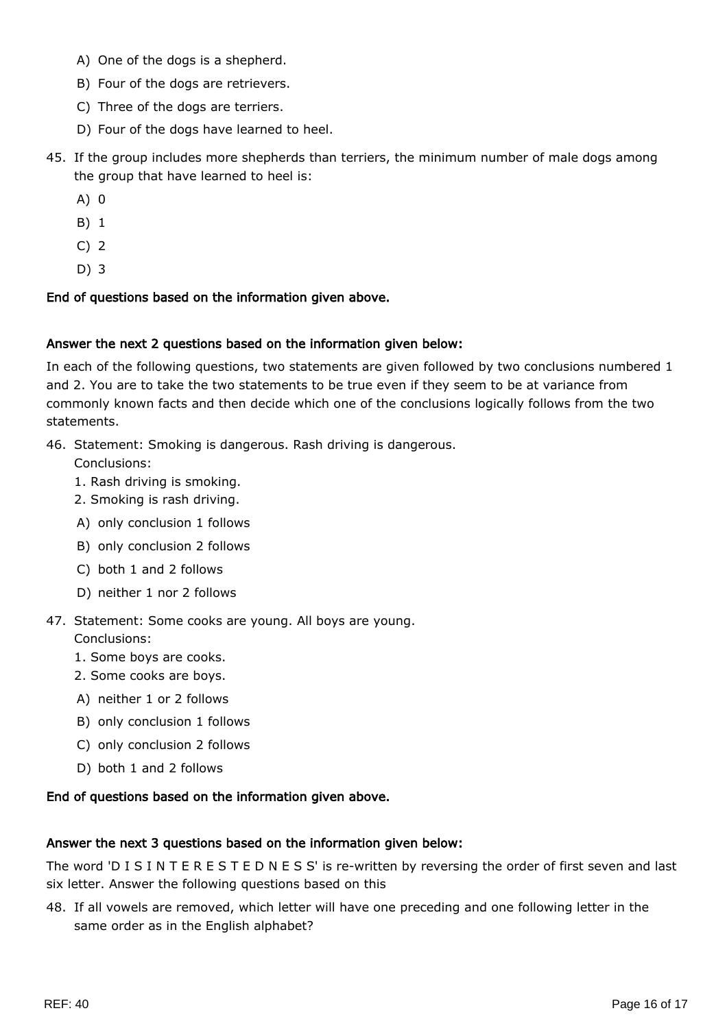- A) One of the dogs is a shepherd.
- B) Four of the dogs are retrievers.
- C) Three of the dogs are terriers.
- D) Four of the dogs have learned to heel.
- 45. If the group includes more shepherds than terriers, the minimum number of male dogs among the group that have learned to heel is:
	- A) 0
	- B) 1
	- C) 2
	- D) 3

## Answer the next 2 questions based on the information given below:

In each of the following questions, two statements are given followed by two conclusions numbered 1 and 2. You are to take the two statements to be true even if they seem to be at variance from commonly known facts and then decide which one of the conclusions logically follows from the two statements.

46. Statement: Smoking is dangerous. Rash driving is dangerous.

Conclusions:

- 1. Rash driving is smoking.
- 2. Smoking is rash driving.
- A) only conclusion 1 follows
- B) only conclusion 2 follows
- C) both 1 and 2 follows
- D) neither 1 nor 2 follows

## 47. Statement: Some cooks are young. All boys are young.

Conclusions:

- 1. Some boys are cooks.
- 2. Some cooks are boys.
- A) neither 1 or 2 follows
- B) only conclusion 1 follows
- C) only conclusion 2 follows
- D) both 1 and 2 follows

# End of questions based on the information given above.

# Answer the next 3 questions based on the information given below:

The word 'D I S I N T E R E S T E D N E S S' is re-written by reversing the order of first seven and last six letter. Answer the following questions based on this

48. If all vowels are removed, which letter will have one preceding and one following letter in the same order as in the English alphabet?